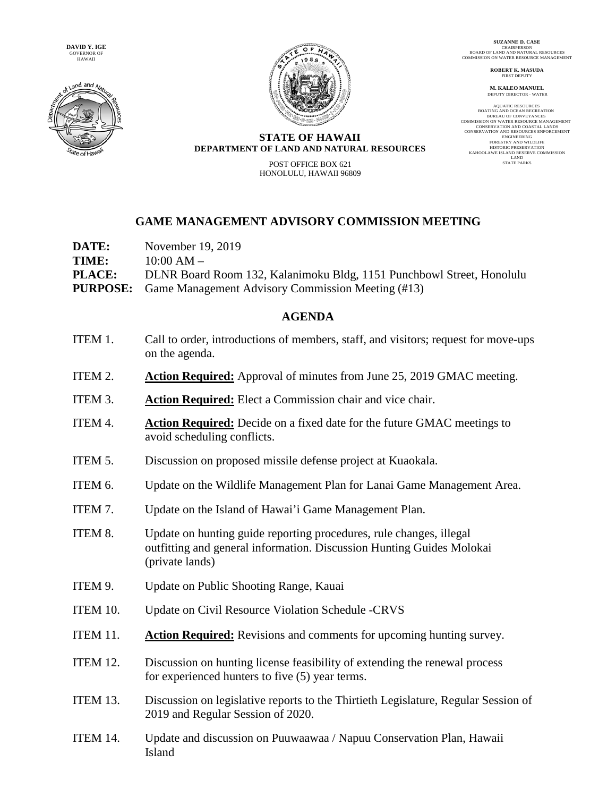**DAVID Y. IGE**  GOVERNOR OF HAWAII





**SUZANNE D. CASE** CHAIRPERSON BOARD OF LAND AND NATURAL RESOURCES COMMISSION ON WATER RESOURCE MANAGEMENT

> **ROBERT K. MASUDA** FIRST DEPUTY

**M. KALEO MANUEL** DEPUTY DIRECTOR - WATER

AQUATIC RESOURCES<br>BOATING AND OCEAN RECREATION<br>BUREAU OF CONVEYANCES<br>COMMISSION ON WATER RESOURCE MANAGEMENT<br>CONSERVATION AND RESOURCES ENFORCEMENT<br>CONSERVATION AND RESOURCES ENFORCEMENT ENGINEERING FORESTRY AND WILDLIFE HISTORIC PRESERVATION **KAHOOLAWE ISLAND RESERVE COMMISSION** LAND STATE PARKS

## **STATE OF HAWAII DEPARTMENT OF LAND AND NATURAL RESOURCES**

POST OFFICE BOX 621 HONOLULU, HAWAII 96809

## **GAME MANAGEMENT ADVISORY COMMISSION MEETING**

| DATE:         | November 19, 2019                                                     |
|---------------|-----------------------------------------------------------------------|
| TIME:         | $10:00 AM -$                                                          |
| <b>PLACE:</b> | DLNR Board Room 132, Kalanimoku Bldg, 1151 Punchbowl Street, Honolulu |
|               | <b>PURPOSE:</b> Game Management Advisory Commission Meeting (#13)     |

## **AGENDA**

- ITEM 1. Call to order, introductions of members, staff, and visitors; request for move-ups on the agenda.
- ITEM 2. **Action Required:** Approval of minutes from June 25, 2019 GMAC meeting.
- ITEM 3. **Action Required:** Elect a Commission chair and vice chair.
- ITEM 4. **Action Required:** Decide on a fixed date for the future GMAC meetings to avoid scheduling conflicts.
- ITEM 5. Discussion on proposed missile defense project at Kuaokala.
- ITEM 6. Update on the Wildlife Management Plan for Lanai Game Management Area.
- ITEM 7. Update on the Island of Hawai'i Game Management Plan.
- ITEM 8. Update on hunting guide reporting procedures, rule changes, illegal outfitting and general information. Discussion Hunting Guides Molokai (private lands)
- ITEM 9. Update on Public Shooting Range, Kauai
- ITEM 10. Update on Civil Resource Violation Schedule -CRVS
- ITEM 11. **Action Required:** Revisions and comments for upcoming hunting survey.
- ITEM 12. Discussion on hunting license feasibility of extending the renewal process for experienced hunters to five (5) year terms.
- ITEM 13. Discussion on legislative reports to the Thirtieth Legislature, Regular Session of 2019 and Regular Session of 2020.
- ITEM 14. Update and discussion on Puuwaawaa / Napuu Conservation Plan, Hawaii Island